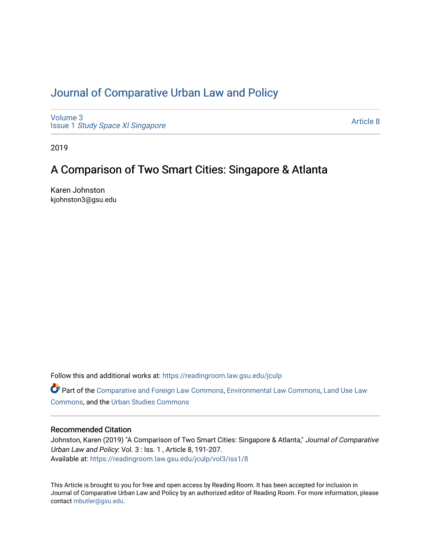# [Journal of Comparative Urban Law and Policy](https://readingroom.law.gsu.edu/jculp)

[Volume 3](https://readingroom.law.gsu.edu/jculp/vol3) Issue 1 [Study Space XI Singapore](https://readingroom.law.gsu.edu/jculp/vol3/iss1)

[Article 8](https://readingroom.law.gsu.edu/jculp/vol3/iss1/8) 

2019

# A Comparison of Two Smart Cities: Singapore & Atlanta

Karen Johnston kjohnston3@gsu.edu

Follow this and additional works at: [https://readingroom.law.gsu.edu/jculp](https://readingroom.law.gsu.edu/jculp?utm_source=readingroom.law.gsu.edu%2Fjculp%2Fvol3%2Fiss1%2F8&utm_medium=PDF&utm_campaign=PDFCoverPages) 

Part of the [Comparative and Foreign Law Commons,](http://network.bepress.com/hgg/discipline/836?utm_source=readingroom.law.gsu.edu%2Fjculp%2Fvol3%2Fiss1%2F8&utm_medium=PDF&utm_campaign=PDFCoverPages) [Environmental Law Commons](http://network.bepress.com/hgg/discipline/599?utm_source=readingroom.law.gsu.edu%2Fjculp%2Fvol3%2Fiss1%2F8&utm_medium=PDF&utm_campaign=PDFCoverPages), Land Use Law [Commons](http://network.bepress.com/hgg/discipline/852?utm_source=readingroom.law.gsu.edu%2Fjculp%2Fvol3%2Fiss1%2F8&utm_medium=PDF&utm_campaign=PDFCoverPages), and the [Urban Studies Commons](http://network.bepress.com/hgg/discipline/402?utm_source=readingroom.law.gsu.edu%2Fjculp%2Fvol3%2Fiss1%2F8&utm_medium=PDF&utm_campaign=PDFCoverPages) 

# Recommended Citation

Johnston, Karen (2019) "A Comparison of Two Smart Cities: Singapore & Atlanta," Journal of Comparative Urban Law and Policy: Vol. 3 : Iss. 1 , Article 8, 191-207. Available at: [https://readingroom.law.gsu.edu/jculp/vol3/iss1/8](https://readingroom.law.gsu.edu/jculp/vol3/iss1/8?utm_source=readingroom.law.gsu.edu%2Fjculp%2Fvol3%2Fiss1%2F8&utm_medium=PDF&utm_campaign=PDFCoverPages) 

This Article is brought to you for free and open access by Reading Room. It has been accepted for inclusion in Journal of Comparative Urban Law and Policy by an authorized editor of Reading Room. For more information, please contact [mbutler@gsu.edu](mailto:mbutler@gsu.edu).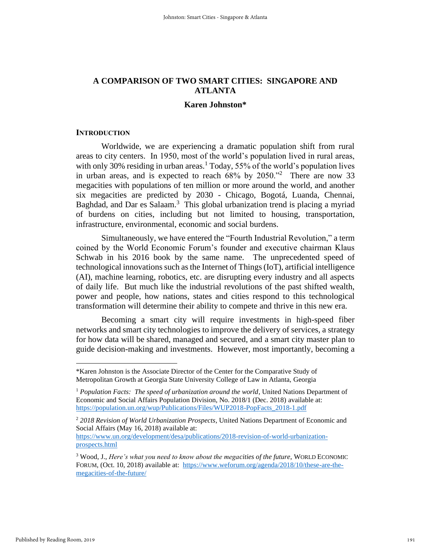# **A COMPARISON OF TWO SMART CITIES: SINGAPORE AND ATLANTA**

# **Karen Johnston\***

#### **INTRODUCTION**

Worldwide, we are experiencing a dramatic population shift from rural areas to city centers. In 1950, most of the world's population lived in rural areas, with only 30% residing in urban areas.<sup>1</sup> Today, 55% of the world's population lives in urban areas, and is expected to reach  $68\%$  by  $2050.^{32}$  There are now 33 megacities with populations of ten million or more around the world, and another six megacities are predicted by 2030 - Chicago, Bogotá, Luanda, Chennai, Baghdad, and Dar es Salaam.<sup>3</sup> This global urbanization trend is placing a myriad of burdens on cities, including but not limited to housing, transportation, infrastructure, environmental, economic and social burdens.

Simultaneously, we have entered the "Fourth Industrial Revolution," a term coined by the World Economic Forum's founder and executive chairman Klaus Schwab in his 2016 book by the same name. The unprecedented speed of technological innovations such as the Internet of Things(IoT), artificial intelligence (AI), machine learning, robotics, etc. are disrupting every industry and all aspects of daily life. But much like the industrial revolutions of the past shifted wealth, power and people, how nations, states and cities respond to this technological transformation will determine their ability to compete and thrive in this new era.

Becoming a smart city will require investments in high-speed fiber networks and smart city technologies to improve the delivery of services, a strategy for how data will be shared, managed and secured, and a smart city master plan to guide decision-making and investments. However, most importantly, becoming a

<sup>\*</sup>Karen Johnston is the Associate Director of the Center for the Comparative Study of Metropolitan Growth at Georgia State University College of Law in Atlanta, Georgia

<sup>&</sup>lt;sup>1</sup> *Population Facts: The speed of urbanization around the world*, United Nations Department of Economic and Social Affairs Population Division, No. 2018/1 (Dec. 2018) available at: [https://population.un.org/wup/Publications/Files/WUP2018-PopFacts\\_2018-1.pdf](https://population.un.org/wup/Publications/Files/WUP2018-PopFacts_2018-1.pdf)

<sup>2</sup> *2018 Revision of World Urbanization Prospects*, United Nations Department of Economic and Social Affairs (May 16, 2018) available at:

[https://www.un.org/development/desa/publications/2018-revision-of-world-urbanization](https://www.un.org/development/desa/publications/2018-revision-of-world-urbanization-prospects.html)[prospects.html](https://www.un.org/development/desa/publications/2018-revision-of-world-urbanization-prospects.html)

<sup>3</sup> Wood, J., *Here's what you need to know about the megacities of the future*, WORLD ECONOMIC FORUM, (Oct. 10, 2018) available at: [https://www.weforum.org/agenda/2018/10/these-are-the](https://www.weforum.org/agenda/2018/10/these-are-the-megacities-of-the-future/)[megacities-of-the-future/](https://www.weforum.org/agenda/2018/10/these-are-the-megacities-of-the-future/)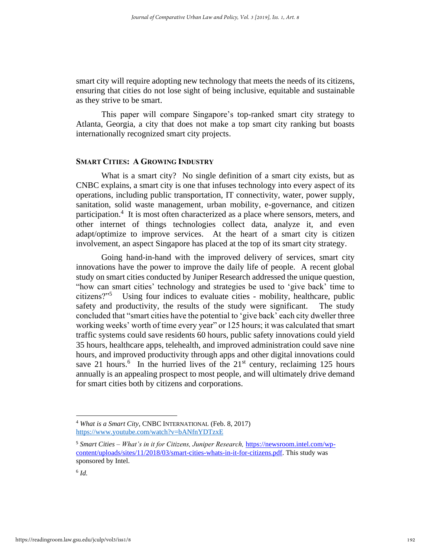smart city will require adopting new technology that meets the needs of its citizens, ensuring that cities do not lose sight of being inclusive, equitable and sustainable as they strive to be smart.

This paper will compare Singapore's top-ranked smart city strategy to Atlanta, Georgia, a city that does not make a top smart city ranking but boasts internationally recognized smart city projects.

# **SMART CITIES: A GROWING INDUSTRY**

What is a smart city? No single definition of a smart city exists, but as CNBC explains, a smart city is one that infuses technology into every aspect of its operations, including public transportation, IT connectivity, water, power supply, sanitation, solid waste management, urban mobility, e-governance, and citizen participation.<sup>4</sup> It is most often characterized as a place where sensors, meters, and other internet of things technologies collect data, analyze it, and even adapt/optimize to improve services. At the heart of a smart city is citizen involvement, an aspect Singapore has placed at the top of its smart city strategy.

Going hand-in-hand with the improved delivery of services, smart city innovations have the power to improve the daily life of people. A recent global study on smart cities conducted by Juniper Research addressed the unique question, "how can smart cities' technology and strategies be used to 'give back' time to citizens?"<sup>5</sup> Using four indices to evaluate cities - mobility, healthcare, public safety and productivity, the results of the study were significant. The study concluded that "smart cities have the potential to 'give back' each city dweller three working weeks' worth of time every year" or 125 hours; it was calculated that smart traffic systems could save residents 60 hours, public safety innovations could yield 35 hours, healthcare apps, telehealth, and improved administration could save nine hours, and improved productivity through apps and other digital innovations could save 21 hours.<sup>6</sup> In the hurried lives of the  $21<sup>st</sup>$  century, reclaiming 125 hours annually is an appealing prospect to most people, and will ultimately drive demand for smart cities both by citizens and corporations.

<sup>4</sup> *What is a Smart City*, CNBC INTERNATIONAL (Feb. 8, 2017) <https://www.youtube.com/watch?v=bANfnYDTzxE>

<sup>5</sup> *Smart Cities – What's in it for Citizens, Juniper Research,* [https://newsroom.intel.com/wp](https://newsroom.intel.com/wp-content/uploads/sites/11/2018/03/smart-cities-whats-in-it-for-citizens.pdf)[content/uploads/sites/11/2018/03/smart-cities-whats-in-it-for-citizens.pdf.](https://newsroom.intel.com/wp-content/uploads/sites/11/2018/03/smart-cities-whats-in-it-for-citizens.pdf) This study was sponsored by Intel.

<sup>6</sup> *Id.*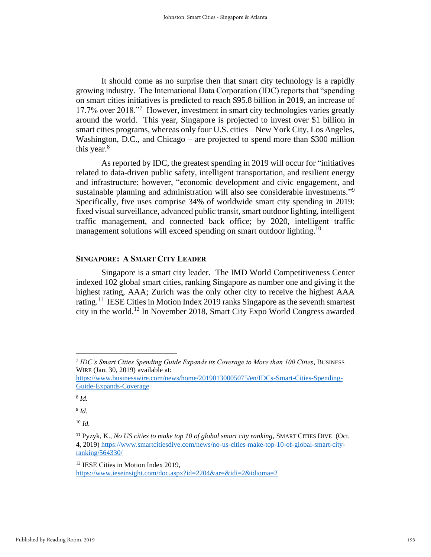It should come as no surprise then that smart city technology is a rapidly growing industry. The International Data Corporation (IDC) reports that "spending on smart cities initiatives is predicted to reach \$95.8 billion in 2019, an increase of 17.7% over 2018."<sup>7</sup> However, investment in smart city technologies varies greatly around the world. This year, Singapore is projected to invest over \$1 billion in smart cities programs, whereas only four U.S. cities – New York City, Los Angeles, Washington, D.C., and Chicago – are projected to spend more than \$300 million this year.<sup>8</sup>

As reported by IDC, the greatest spending in 2019 will occur for "initiatives related to data-driven public safety, intelligent transportation, and resilient energy and infrastructure; however, "economic development and civic engagement, and sustainable planning and administration will also see considerable investments."<sup>9</sup> Specifically, five uses comprise 34% of worldwide smart city spending in 2019: fixed visual surveillance, advanced public transit, smart outdoor lighting, intelligent traffic management, and connected back office; by 2020, intelligent traffic management solutions will exceed spending on smart outdoor lighting.<sup>10</sup>

# **SINGAPORE: A SMART CITY LEADER**

Singapore is a smart city leader. The IMD World Competitiveness Center indexed 102 global smart cities, ranking Singapore as number one and giving it the highest rating, AAA; Zurich was the only other city to receive the highest AAA rating.<sup>11</sup> IESE Cities in Motion Index 2019 ranks Singapore as the seventh smartest city in the world.<sup>12</sup> In November 2018, Smart City Expo World Congress awarded

<sup>7</sup> *IDC's Smart Cities Spending Guide Expands its Coverage to More than 100 Cities*, BUSINESS WIRE (Jan. 30, 2019) available at:

[https://www.businesswire.com/news/home/20190130005075/en/IDCs-Smart-Cities-Spending-](https://www.businesswire.com/news/home/20190130005075/en/IDCs-Smart-Cities-Spending-Guide-Expands-Coverage)[Guide-Expands-Coverage](https://www.businesswire.com/news/home/20190130005075/en/IDCs-Smart-Cities-Spending-Guide-Expands-Coverage)

<sup>8</sup> *Id.*

<sup>10</sup> *Id.*

<sup>11</sup> Pyzyk, K., *No US cities to make top 10 of global smart city ranking*, SMART CITIES DIVE (Oct. 4, 2019) [https://www.smartcitiesdive.com/news/no-us-cities-make-top-10-of-global-smart-city](https://www.smartcitiesdive.com/news/no-us-cities-make-top-10-of-global-smart-city-ranking/564330/)[ranking/564330/](https://www.smartcitiesdive.com/news/no-us-cities-make-top-10-of-global-smart-city-ranking/564330/)

<sup>&</sup>lt;sup>12</sup> IESE Cities in Motion Index 2019, <https://www.ieseinsight.com/doc.aspx?id=2204&ar=&idi=2&idioma=2>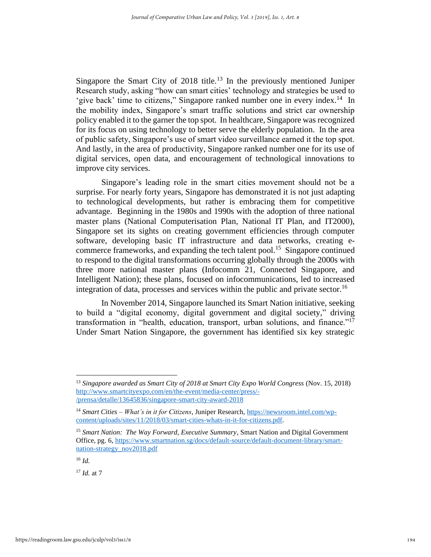Singapore the Smart City of  $2018$  title.<sup>13</sup> In the previously mentioned Juniper Research study, asking "how can smart cities' technology and strategies be used to 'give back' time to citizens," Singapore ranked number one in every index.<sup>14</sup> In the mobility index, Singapore's smart traffic solutions and strict car ownership policy enabled it to the garner the top spot. In healthcare, Singapore was recognized for its focus on using technology to better serve the elderly population. In the area of public safety, Singapore's use of smart video surveillance earned it the top spot. And lastly, in the area of productivity, Singapore ranked number one for its use of digital services, open data, and encouragement of technological innovations to improve city services.

Singapore's leading role in the smart cities movement should not be a surprise. For nearly forty years, Singapore has demonstrated it is not just adapting to technological developments, but rather is embracing them for competitive advantage. Beginning in the 1980s and 1990s with the adoption of three national master plans (National Computerisation Plan, National IT Plan, and IT2000), Singapore set its sights on creating government efficiencies through computer software, developing basic IT infrastructure and data networks, creating ecommerce frameworks, and expanding the tech talent pool.<sup>15</sup> Singapore continued to respond to the digital transformations occurring globally through the 2000s with three more national master plans (Infocomm 21, Connected Singapore, and Intelligent Nation); these plans, focused on infocommunications, led to increased integration of data, processes and services within the public and private sector.<sup>16</sup>

In November 2014, Singapore launched its Smart Nation initiative, seeking to build a "digital economy, digital government and digital society," driving transformation in "health, education, transport, urban solutions, and finance."<sup>17</sup> Under Smart Nation Singapore, the government has identified six key strategic

<sup>13</sup> *Singapore awarded as Smart City of 2018 at Smart City Expo World Congress* (Nov. 15, 2018) [http://www.smartcityexpo.com/en/the-event/media-center/press/-](http://www.smartcityexpo.com/en/the-event/media-center/press/-/prensa/detalle/13645836/singapore-smart-city-award-2018) [/prensa/detalle/13645836/singapore-smart-city-award-2018](http://www.smartcityexpo.com/en/the-event/media-center/press/-/prensa/detalle/13645836/singapore-smart-city-award-2018)

<sup>14</sup> *Smart Cities – What's in it for Citizens*, Juniper Research, [https://newsroom.intel.com/wp](https://newsroom.intel.com/wp-content/uploads/sites/11/2018/03/smart-cities-whats-in-it-for-citizens.pdf)[content/uploads/sites/11/2018/03/smart-cities-whats-in-it-for-citizens.pdf.](https://newsroom.intel.com/wp-content/uploads/sites/11/2018/03/smart-cities-whats-in-it-for-citizens.pdf)

<sup>15</sup> *Smart Nation: The Way Forward, Executive Summary*, Smart Nation and Digital Government Office, pg. 6[, https://www.smartnation.sg/docs/default-source/default-document-library/smart](https://www.smartnation.sg/docs/default-source/default-document-library/smart-nation-strategy_nov2018.pdf)[nation-strategy\\_nov2018.pdf](https://www.smartnation.sg/docs/default-source/default-document-library/smart-nation-strategy_nov2018.pdf)

<sup>16</sup> *Id.*

<sup>17</sup> *Id.* at 7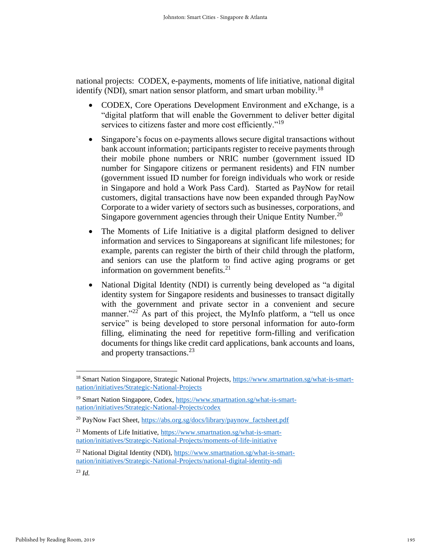national projects: CODEX, e-payments, moments of life initiative, national digital identify (NDI), smart nation sensor platform, and smart urban mobility.<sup>18</sup>

- CODEX, Core Operations Development Environment and eXchange, is a "digital platform that will enable the Government to deliver better digital services to citizens faster and more cost efficiently."<sup>19</sup>
- Singapore's focus on e-payments allows secure digital transactions without bank account information; participants register to receive payments through their mobile phone numbers or NRIC number (government issued ID number for Singapore citizens or permanent residents) and FIN number (government issued ID number for foreign individuals who work or reside in Singapore and hold a Work Pass Card). Started as PayNow for retail customers, digital transactions have now been expanded through PayNow Corporate to a wider variety of sectors such as businesses, corporations, and Singapore government agencies through their Unique Entity Number.<sup>20</sup>
- The Moments of Life Initiative is a digital platform designed to deliver information and services to Singaporeans at significant life milestones; for example, parents can register the birth of their child through the platform, and seniors can use the platform to find active aging programs or get information on government benefits. $2<sup>1</sup>$
- National Digital Identity (NDI) is currently being developed as "a digital identity system for Singapore residents and businesses to transact digitally with the government and private sector in a convenient and secure manner. $12^{2}$  As part of this project, the MyInfo platform, a "tell us once service" is being developed to store personal information for auto-form filling, eliminating the need for repetitive form-filling and verification documents for things like credit card applications, bank accounts and loans, and property transactions.<sup>23</sup>

<sup>&</sup>lt;sup>18</sup> Smart Nation Singapore, Strategic National Projects, [https://www.smartnation.sg/what-is-smart](https://www.smartnation.sg/what-is-smart-nation/initiatives/Strategic-National-Projects)[nation/initiatives/Strategic-National-Projects](https://www.smartnation.sg/what-is-smart-nation/initiatives/Strategic-National-Projects)

<sup>&</sup>lt;sup>19</sup> Smart Nation Singapore, Codex, [https://www.smartnation.sg/what-is-smart](https://www.smartnation.sg/what-is-smart-nation/initiatives/Strategic-National-Projects/codex)[nation/initiatives/Strategic-National-Projects/codex](https://www.smartnation.sg/what-is-smart-nation/initiatives/Strategic-National-Projects/codex)

<sup>20</sup> PayNow Fact Sheet, [https://abs.org.sg/docs/library/paynow\\_factsheet.pdf](https://abs.org.sg/docs/library/paynow_factsheet.pdf)

<sup>21</sup> Moments of Life Initiative, [https://www.smartnation.sg/what-is-smart](https://www.smartnation.sg/what-is-smart-nation/initiatives/Strategic-National-Projects/moments-of-life-initiative)[nation/initiatives/Strategic-National-Projects/moments-of-life-initiative](https://www.smartnation.sg/what-is-smart-nation/initiatives/Strategic-National-Projects/moments-of-life-initiative)

<sup>&</sup>lt;sup>22</sup> National Digital Identity (NDI), [https://www.smartnation.sg/what-is-smart](https://www.smartnation.sg/what-is-smart-nation/initiatives/Strategic-National-Projects/national-digital-identity-ndi)[nation/initiatives/Strategic-National-Projects/national-digital-identity-ndi](https://www.smartnation.sg/what-is-smart-nation/initiatives/Strategic-National-Projects/national-digital-identity-ndi)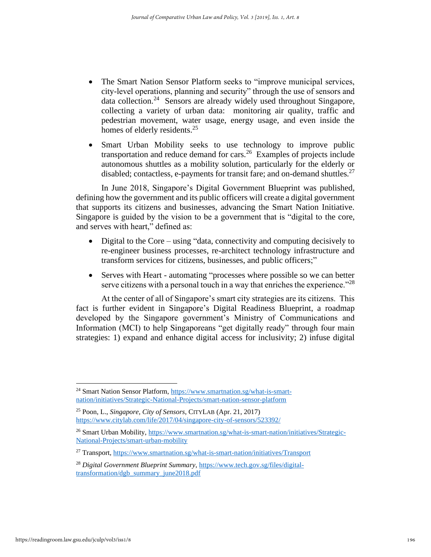- The Smart Nation Sensor Platform seeks to "improve municipal services, city-level operations, planning and security" through the use of sensors and data collection.<sup>24</sup> Sensors are already widely used throughout Singapore, collecting a variety of urban data: monitoring air quality, traffic and pedestrian movement, water usage, energy usage, and even inside the homes of elderly residents.<sup>25</sup>
- Smart Urban Mobility seeks to use technology to improve public transportation and reduce demand for cars.<sup>26</sup> Examples of projects include autonomous shuttles as a mobility solution, particularly for the elderly or disabled; contactless, e-payments for transit fare; and on-demand shuttles.<sup>27</sup>

In June 2018, Singapore's Digital Government Blueprint was published, defining how the government and its public officers will create a digital government that supports its citizens and businesses, advancing the Smart Nation Initiative. Singapore is guided by the vision to be a government that is "digital to the core, and serves with heart," defined as:

- Digital to the Core using "data, connectivity and computing decisively to re-engineer business processes, re-architect technology infrastructure and transform services for citizens, businesses, and public officers;"
- Serves with Heart automating "processes where possible so we can better serve citizens with a personal touch in a way that enriches the experience.<sup>728</sup>

At the center of all of Singapore's smart city strategies are its citizens. This fact is further evident in Singapore's Digital Readiness Blueprint, a roadmap developed by the Singapore government's Ministry of Communications and Information (MCI) to help Singaporeans "get digitally ready" through four main strategies: 1) expand and enhance digital access for inclusivity; 2) infuse digital

<sup>&</sup>lt;sup>24</sup> Smart Nation Sensor Platform, [https://www.smartnation.sg/what-is-smart](https://www.smartnation.sg/what-is-smart-nation/initiatives/Strategic-National-Projects/smart-nation-sensor-platform)[nation/initiatives/Strategic-National-Projects/smart-nation-sensor-platform](https://www.smartnation.sg/what-is-smart-nation/initiatives/Strategic-National-Projects/smart-nation-sensor-platform)

<sup>25</sup> Poon, L., *Singapore, City of Sensors*, CITYLAB (Apr. 21, 2017) <https://www.citylab.com/life/2017/04/singapore-city-of-sensors/523392/>

<sup>&</sup>lt;sup>26</sup> Smart Urban Mobility, [https://www.smartnation.sg/what-is-smart-nation/initiatives/Strategic-](https://www.smartnation.sg/what-is-smart-nation/initiatives/Strategic-National-Projects/smart-urban-mobility)[National-Projects/smart-urban-mobility](https://www.smartnation.sg/what-is-smart-nation/initiatives/Strategic-National-Projects/smart-urban-mobility)

<sup>&</sup>lt;sup>27</sup> Transport,<https://www.smartnation.sg/what-is-smart-nation/initiatives/Transport>

<sup>28</sup> *Digital Government Blueprint Summary*, [https://www.tech.gov.sg/files/digital](https://www.tech.gov.sg/files/digital-transformation/dgb_summary_june2018.pdf)[transformation/dgb\\_summary\\_june2018.pdf](https://www.tech.gov.sg/files/digital-transformation/dgb_summary_june2018.pdf)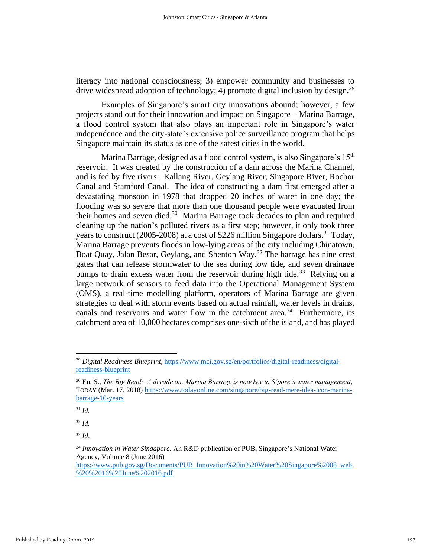literacy into national consciousness; 3) empower community and businesses to drive widespread adoption of technology; 4) promote digital inclusion by design.<sup>29</sup>

Examples of Singapore's smart city innovations abound; however, a few projects stand out for their innovation and impact on Singapore – Marina Barrage, a flood control system that also plays an important role in Singapore's water independence and the city-state's extensive police surveillance program that helps Singapore maintain its status as one of the safest cities in the world.

Marina Barrage, designed as a flood control system, is also Singapore's 15<sup>th</sup> reservoir. It was created by the construction of a dam across the Marina Channel, and is fed by five rivers: Kallang River, Geylang River, Singapore River, Rochor Canal and Stamford Canal. The idea of constructing a dam first emerged after a devastating monsoon in 1978 that dropped 20 inches of water in one day; the flooding was so severe that more than one thousand people were evacuated from their homes and seven died.<sup>30</sup> Marina Barrage took decades to plan and required cleaning up the nation's polluted rivers as a first step; however, it only took three years to construct (2005-2008) at a cost of \$226 million Singapore dollars.<sup>31</sup> Today, Marina Barrage prevents floods in low-lying areas of the city including Chinatown, Boat Quay, Jalan Besar, Geylang, and Shenton Way.<sup>32</sup> The barrage has nine crest gates that can release stormwater to the sea during low tide, and seven drainage pumps to drain excess water from the reservoir during high tide.<sup>33</sup> Relying on a large network of sensors to feed data into the Operational Management System (OMS), a real-time modelling platform, operators of Marina Barrage are given strategies to deal with storm events based on actual rainfall, water levels in drains, canals and reservoirs and water flow in the catchment area.<sup>34</sup> Furthermore, its catchment area of 10,000 hectares comprises one-sixth of the island, and has played

<sup>31</sup> *Id.*

<sup>32</sup> *Id.*

<sup>29</sup> *Digital Readiness Blueprint*[, https://www.mci.gov.sg/en/portfolios/digital-readiness/digital](https://www.mci.gov.sg/en/portfolios/digital-readiness/digital-readiness-blueprint)[readiness-blueprint](https://www.mci.gov.sg/en/portfolios/digital-readiness/digital-readiness-blueprint)

<sup>30</sup> En, S., *The Big Read: A decade on, Marina Barrage is now key to S'pore's water management*, TODAY (Mar. 17, 2018) [https://www.todayonline.com/singapore/big-read-mere-idea-icon-marina](https://www.todayonline.com/singapore/big-read-mere-idea-icon-marina-barrage-10-years)[barrage-10-years](https://www.todayonline.com/singapore/big-read-mere-idea-icon-marina-barrage-10-years)

<sup>34</sup> *Innovation in Water Singapore*, An R&D publication of PUB, Singapore's National Water Agency, Volume 8 (June 2016)

[https://www.pub.gov.sg/Documents/PUB\\_Innovation%20in%20Water%20Singapore%2008\\_web](https://www.pub.gov.sg/Documents/PUB_Innovation%20in%20Water%20Singapore%2008_web%20%2016%20June%202016.pdf) [%20%2016%20June%202016.pdf](https://www.pub.gov.sg/Documents/PUB_Innovation%20in%20Water%20Singapore%2008_web%20%2016%20June%202016.pdf)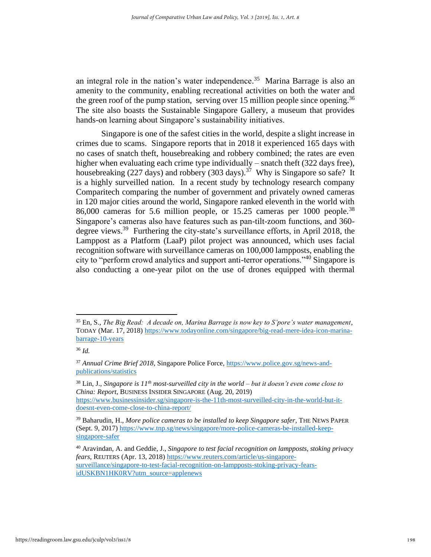an integral role in the nation's water independence.<sup>35</sup> Marina Barrage is also an amenity to the community, enabling recreational activities on both the water and the green roof of the pump station, serving over 15 million people since opening.<sup>36</sup> The site also boasts the Sustainable Singapore Gallery, a museum that provides hands-on learning about Singapore's sustainability initiatives.

Singapore is one of the safest cities in the world, despite a slight increase in crimes due to scams. Singapore reports that in 2018 it experienced 165 days with no cases of snatch theft, housebreaking and robbery combined; the rates are even higher when evaluating each crime type individually – snatch theft (322 days free), housebreaking (227 days) and robbery (303 days).<sup>37</sup> Why is Singapore so safe? It is a highly surveilled nation. In a recent study by technology research company Comparitech comparing the number of government and privately owned cameras in 120 major cities around the world, Singapore ranked eleventh in the world with 86,000 cameras for 5.6 million people, or 15.25 cameras per 1000 people.<sup>38</sup> Singapore's cameras also have features such as pan-tilt-zoom functions, and 360 degree views.<sup>39</sup> Furthering the city-state's surveillance efforts, in April 2018, the Lamppost as a Platform (LaaP) pilot project was announced, which uses facial recognition software with surveillance cameras on 100,000 lampposts, enabling the city to "perform crowd analytics and support anti-terror operations."<sup>40</sup> Singapore is also conducting a one-year pilot on the use of drones equipped with thermal

<sup>35</sup> En, S., *The Big Read: A decade on, Marina Barrage is now key to S'pore's water management*, TODAY (Mar. 17, 2018) [https://www.todayonline.com/singapore/big-read-mere-idea-icon-marina](https://www.todayonline.com/singapore/big-read-mere-idea-icon-marina-barrage-10-years)[barrage-10-years](https://www.todayonline.com/singapore/big-read-mere-idea-icon-marina-barrage-10-years)

<sup>36</sup> *Id.*

<sup>37</sup> *Annual Crime Brief 2018*, Singapore Police Force[, https://www.police.gov.sg/news-and](https://www.police.gov.sg/news-and-publications/statistics)[publications/statistics](https://www.police.gov.sg/news-and-publications/statistics)

<sup>38</sup> Lin, J., *Singapore is 11th most-surveilled city in the world – but it doesn't even come close to China: Report*, BUSINESS INSIDER SINGAPORE (Aug. 20, 2019) [https://www.businessinsider.sg/singapore-is-the-11th-most-surveilled-city-in-the-world-but-it](https://www.businessinsider.sg/singapore-is-the-11th-most-surveilled-city-in-the-world-but-it-doesnt-even-come-close-to-china-report/)[doesnt-even-come-close-to-china-report/](https://www.businessinsider.sg/singapore-is-the-11th-most-surveilled-city-in-the-world-but-it-doesnt-even-come-close-to-china-report/)

<sup>39</sup> Baharudin, H., *More police cameras to be installed to keep Singapore safer*, THE NEWS PAPER (Sept. 9, 2017) [https://www.tnp.sg/news/singapore/more-police-cameras-be-installed-keep](https://www.tnp.sg/news/singapore/more-police-cameras-be-installed-keep-singapore-safer)[singapore-safer](https://www.tnp.sg/news/singapore/more-police-cameras-be-installed-keep-singapore-safer)

<sup>40</sup> Aravindan, A. and Geddie, J., *Singapore to test facial recognition on lampposts, stoking privacy fears*, REUTERS (Apr. 13, 2018) [https://www.reuters.com/article/us-singapore](https://www.reuters.com/article/us-singapore-surveillance/singapore-to-test-facial-recognition-on-lampposts-stoking-privacy-fears-idUSKBN1HK0RV?utm_source=applenews)[surveillance/singapore-to-test-facial-recognition-on-lampposts-stoking-privacy-fears](https://www.reuters.com/article/us-singapore-surveillance/singapore-to-test-facial-recognition-on-lampposts-stoking-privacy-fears-idUSKBN1HK0RV?utm_source=applenews)[idUSKBN1HK0RV?utm\\_source=applenews](https://www.reuters.com/article/us-singapore-surveillance/singapore-to-test-facial-recognition-on-lampposts-stoking-privacy-fears-idUSKBN1HK0RV?utm_source=applenews)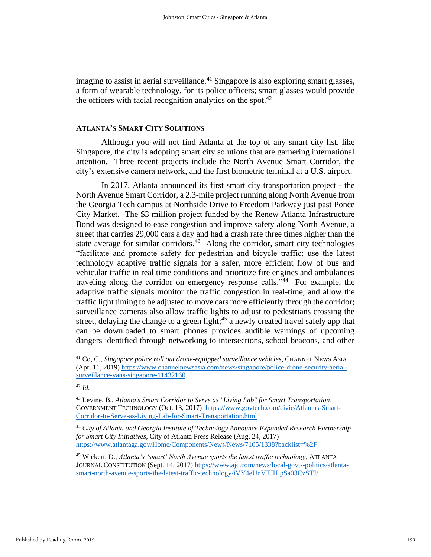imaging to assist in aerial surveillance.<sup>41</sup> Singapore is also exploring smart glasses, a form of wearable technology, for its police officers; smart glasses would provide the officers with facial recognition analytics on the spot. $42$ 

# **ATLANTA'S SMART CITY SOLUTIONS**

Although you will not find Atlanta at the top of any smart city list, like Singapore, the city is adopting smart city solutions that are garnering international attention. Three recent projects include the North Avenue Smart Corridor, the city's extensive camera network, and the first biometric terminal at a U.S. airport.

In 2017, Atlanta announced its first smart city transportation project - the North Avenue Smart Corridor, a 2.3-mile project running along North Avenue from the Georgia Tech campus at Northside Drive to Freedom Parkway just past Ponce City Market. The \$3 million project funded by the Renew Atlanta Infrastructure Bond was designed to ease congestion and improve safety along North Avenue, a street that carries 29,000 cars a day and had a crash rate three times higher than the state average for similar corridors.<sup>43</sup> Along the corridor, smart city technologies "facilitate and promote safety for pedestrian and bicycle traffic; use the latest technology adaptive traffic signals for a safer, more efficient flow of bus and vehicular traffic in real time conditions and prioritize fire engines and ambulances traveling along the corridor on emergency response calls."<sup>44</sup> For example, the adaptive traffic signals monitor the traffic congestion in real-time, and allow the traffic light timing to be adjusted to move cars more efficiently through the corridor; surveillance cameras also allow traffic lights to adjust to pedestrians crossing the street, delaying the change to a green light;<sup>45</sup> a newly created travel safely app that can be downloaded to smart phones provides audible warnings of upcoming dangers identified through networking to intersections, school beacons, and other

<sup>41</sup> Co, C., *Singapore police roll out drone-equipped surveillance vehicles*, CHANNEL NEWS ASIA (Apr. 11, 2019) [https://www.channelnewsasia.com/news/singapore/police-drone-security-aerial](https://www.channelnewsasia.com/news/singapore/police-drone-security-aerial-surveillance-vans-singapore-11432160)[surveillance-vans-singapore-11432160](https://www.channelnewsasia.com/news/singapore/police-drone-security-aerial-surveillance-vans-singapore-11432160)

<sup>43</sup> Levine, B., *Atlanta's Smart Corridor to Serve as "Living Lab" for Smart Transportation*, GOVERNMENT TECHNOLOGY (Oct. 13, 2017) [https://www.govtech.com/civic/Atlantas-Smart-](https://www.govtech.com/civic/Atlantas-Smart-Corridor-to-Serve-as-Living-Lab-for-Smart-Transportation.html)[Corridor-to-Serve-as-Living-Lab-for-Smart-Transportation.html](https://www.govtech.com/civic/Atlantas-Smart-Corridor-to-Serve-as-Living-Lab-for-Smart-Transportation.html)

<sup>44</sup> *City of Atlanta and Georgia Institute of Technology Announce Expanded Research Partnership for Smart City Initiatives*, City of Atlanta Press Release (Aug. 24, 2017) <https://www.atlantaga.gov/Home/Components/News/News/7105/1338?backlist=%2F>

<sup>45</sup> Wickert, D., *Atlanta's 'smart' North Avenue sports the latest traffic technology*, ATLANTA JOURNAL CONSTITUTION (Sept. 14, 2017) [https://www.ajc.com/news/local-govt--politics/atlanta](https://www.ajc.com/news/local-govt--politics/atlanta-smart-north-avenue-sports-the-latest-traffic-technology/iVY4eUnVTJHipSa03CzSTJ/)[smart-north-avenue-sports-the-latest-traffic-technology/iVY4eUnVTJHipSa03CzSTJ/](https://www.ajc.com/news/local-govt--politics/atlanta-smart-north-avenue-sports-the-latest-traffic-technology/iVY4eUnVTJHipSa03CzSTJ/)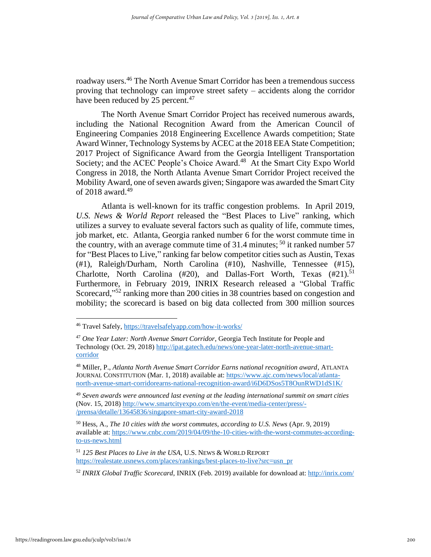roadway users.<sup>46</sup> The North Avenue Smart Corridor has been a tremendous success proving that technology can improve street safety – accidents along the corridor have been reduced by 25 percent.<sup>47</sup>

The North Avenue Smart Corridor Project has received numerous awards, including the National Recognition Award from the American Council of Engineering Companies 2018 Engineering Excellence Awards competition; State Award Winner, Technology Systems by ACEC at the 2018 EEA State Competition; 2017 Project of Significance Award from the Georgia Intelligent Transportation Society; and the ACEC People's Choice Award.<sup>48</sup> At the Smart City Expo World Congress in 2018, the North Atlanta Avenue Smart Corridor Project received the Mobility Award, one of seven awards given; Singapore was awarded the Smart City of 2018 award.<sup>49</sup>

Atlanta is well-known for its traffic congestion problems. In April 2019, *U.S. News & World Report* released the "Best Places to Live" ranking, which utilizes a survey to evaluate several factors such as quality of life, commute times, job market, etc. Atlanta, Georgia ranked number 6 for the worst commute time in the country, with an average commute time of 31.4 minutes;  $50$  it ranked number 57 for "Best Places to Live," ranking far below competitor cities such as Austin, Texas (#1), Raleigh/Durham, North Carolina (#10), Nashville, Tennessee (#15), Charlotte, North Carolina  $(\#20)$ , and Dallas-Fort Worth, Texas  $(\#21).$ <sup>51</sup> Furthermore, in February 2019, INRIX Research released a "Global Traffic Scorecard,"<sup>52</sup> ranking more than 200 cities in 38 countries based on congestion and mobility; the scorecard is based on big data collected from 300 million sources

<sup>46</sup> Travel Safely,<https://travelsafelyapp.com/how-it-works/>

<sup>47</sup> *One Year Later: North Avenue Smart Corridor*, Georgia Tech Institute for People and Technology (Oct. 29, 2018) [http://ipat.gatech.edu/news/one-year-later-north-avenue-smart](http://ipat.gatech.edu/news/one-year-later-north-avenue-smart-corridor)[corridor](http://ipat.gatech.edu/news/one-year-later-north-avenue-smart-corridor)

<sup>48</sup> Miller, P., *Atlanta North Avenue Smart Corridor Earns national recognition award*, ATLANTA JOURNAL CONSTITUTION (Mar. 1, 2018) available at[: https://www.ajc.com/news/local/atlanta](https://www.ajc.com/news/local/atlanta-north-avenue-smart-corridorearns-national-recognition-award/i6D6DSos5T8OunRWD1dS1K/)[north-avenue-smart-corridorearns-national-recognition-award/i6D6DSos5T8OunRWD1dS1K/](https://www.ajc.com/news/local/atlanta-north-avenue-smart-corridorearns-national-recognition-award/i6D6DSos5T8OunRWD1dS1K/)

<sup>49</sup> *Seven awards were announced last evening at the leading international summit on smart cities* (Nov. 15, 2018) [http://www.smartcityexpo.com/en/the-event/media-center/press/-](http://www.smartcityexpo.com/en/the-event/media-center/press/-/prensa/detalle/13645836/singapore-smart-city-award-2018) [/prensa/detalle/13645836/singapore-smart-city-award-2018](http://www.smartcityexpo.com/en/the-event/media-center/press/-/prensa/detalle/13645836/singapore-smart-city-award-2018)

<sup>50</sup> Hess, A., *The 10 cities with the worst commutes, according to U.S. News* (Apr. 9, 2019) available at: [https://www.cnbc.com/2019/04/09/the-10-cities-with-the-worst-commutes-according](https://www.cnbc.com/2019/04/09/the-10-cities-with-the-worst-commutes-according-to-us-news.html)[to-us-news.html](https://www.cnbc.com/2019/04/09/the-10-cities-with-the-worst-commutes-according-to-us-news.html) 

<sup>51</sup> *125 Best Places to Live in the USA*, U.S. NEWS & WORLD REPORT [https://realestate.usnews.com/places/rankings/best-places-to-live?src=usn\\_pr](https://realestate.usnews.com/places/rankings/best-places-to-live?src=usn_pr)

<sup>52</sup> *INRIX Global Traffic Scorecard*, INRIX (Feb. 2019) available for download at:<http://inrix.com/>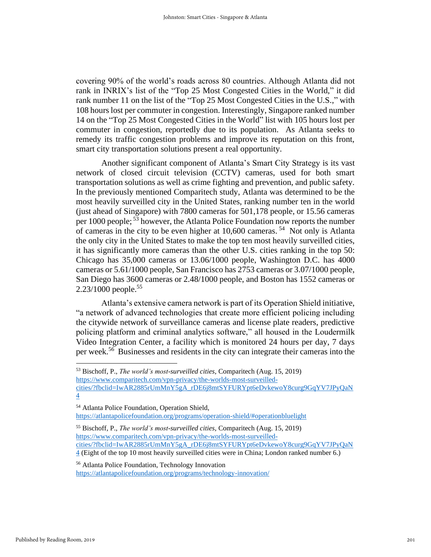covering 90% of the world's roads across 80 countries. Although Atlanta did not rank in INRIX's list of the "Top 25 Most Congested Cities in the World," it did rank number 11 on the list of the "Top 25 Most Congested Cities in the U.S.," with 108 hours lost per commuter in congestion. Interestingly, Singapore ranked number 14 on the "Top 25 Most Congested Cities in the World" list with 105 hours lost per commuter in congestion, reportedly due to its population. As Atlanta seeks to remedy its traffic congestion problems and improve its reputation on this front, smart city transportation solutions present a real opportunity.

Another significant component of Atlanta's Smart City Strategy is its vast network of closed circuit television (CCTV) cameras, used for both smart transportation solutions as well as crime fighting and prevention, and public safety. In the previously mentioned Comparitech study, Atlanta was determined to be the most heavily surveilled city in the United States, ranking number ten in the world (just ahead of Singapore) with 7800 cameras for 501,178 people, or 15.56 cameras per 1000 people;<sup>53</sup> however, the Atlanta Police Foundation now reports the number of cameras in the city to be even higher at  $10,600$  cameras.<sup>54</sup> Not only is Atlanta the only city in the United States to make the top ten most heavily surveilled cities, it has significantly more cameras than the other U.S. cities ranking in the top 50: Chicago has 35,000 cameras or 13.06/1000 people, Washington D.C. has 4000 cameras or 5.61/1000 people, San Francisco has 2753 cameras or 3.07/1000 people, San Diego has 3600 cameras or 2.48/1000 people, and Boston has 1552 cameras or 2.23/1000 people.<sup>55</sup>

Atlanta's extensive camera network is part of its Operation Shield initiative, "a network of advanced technologies that create more efficient policing including the citywide network of surveillance cameras and license plate readers, predictive policing platform and criminal analytics software," all housed in the Loudermilk Video Integration Center, a facility which is monitored 24 hours per day, 7 days per week.<sup>56</sup> Businesses and residents in the city can integrate their cameras into the

<sup>56</sup> Atlanta Police Foundation, Technology Innovation <https://atlantapolicefoundation.org/programs/technology-innovation/>

<sup>53</sup> Bischoff, P., *The world's most-surveilled cities*, Comparitech (Aug. 15, 2019) [https://www.comparitech.com/vpn-privacy/the-worlds-most-surveilled](https://www.comparitech.com/vpn-privacy/the-worlds-most-surveilled-cities/?fbclid=IwAR2885rUmMnY5gA_rDE6j8mtSYFURYpt6eDvkewoY8curg9GqYV7JPyQaN4)[cities/?fbclid=IwAR2885rUmMnY5gA\\_rDE6j8mtSYFURYpt6eDvkewoY8curg9GqYV7JPyQaN](https://www.comparitech.com/vpn-privacy/the-worlds-most-surveilled-cities/?fbclid=IwAR2885rUmMnY5gA_rDE6j8mtSYFURYpt6eDvkewoY8curg9GqYV7JPyQaN4)

[<sup>4</sup>](https://www.comparitech.com/vpn-privacy/the-worlds-most-surveilled-cities/?fbclid=IwAR2885rUmMnY5gA_rDE6j8mtSYFURYpt6eDvkewoY8curg9GqYV7JPyQaN4)

<sup>54</sup> Atlanta Police Foundation, Operation Shield, <https://atlantapolicefoundation.org/programs/operation-shield/#operationbluelight>

<sup>55</sup> Bischoff, P., *The world's most-surveilled cities*, Comparitech (Aug. 15, 2019) [https://www.comparitech.com/vpn-privacy/the-worlds-most-surveilled](https://www.comparitech.com/vpn-privacy/the-worlds-most-surveilled-cities/?fbclid=IwAR2885rUmMnY5gA_rDE6j8mtSYFURYpt6eDvkewoY8curg9GqYV7JPyQaN4)[cities/?fbclid=IwAR2885rUmMnY5gA\\_rDE6j8mtSYFURYpt6eDvkewoY8curg9GqYV7JPyQaN](https://www.comparitech.com/vpn-privacy/the-worlds-most-surveilled-cities/?fbclid=IwAR2885rUmMnY5gA_rDE6j8mtSYFURYpt6eDvkewoY8curg9GqYV7JPyQaN4) [4](https://www.comparitech.com/vpn-privacy/the-worlds-most-surveilled-cities/?fbclid=IwAR2885rUmMnY5gA_rDE6j8mtSYFURYpt6eDvkewoY8curg9GqYV7JPyQaN4) (Eight of the top 10 most heavily surveilled cities were in China; London ranked number 6.)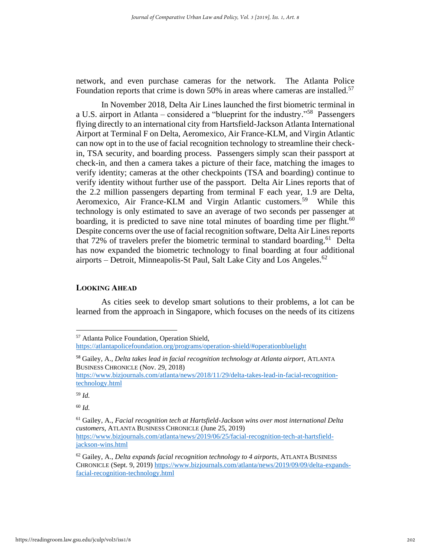network, and even purchase cameras for the network. The Atlanta Police Foundation reports that crime is down 50% in areas where cameras are installed.<sup>57</sup>

In November 2018, Delta Air Lines launched the first biometric terminal in a U.S. airport in Atlanta – considered a "blueprint for the industry."<sup>58</sup> Passengers flying directly to an international city from Hartsfield-Jackson Atlanta International Airport at Terminal F on Delta, Aeromexico, Air France-KLM, and Virgin Atlantic can now opt in to the use of facial recognition technology to streamline their checkin, TSA security, and boarding process. Passengers simply scan their passport at check-in, and then a camera takes a picture of their face, matching the images to verify identity; cameras at the other checkpoints (TSA and boarding) continue to verify identity without further use of the passport. Delta Air Lines reports that of the 2.2 million passengers departing from terminal F each year, 1.9 are Delta, Aeromexico, Air France-KLM and Virgin Atlantic customers.<sup>59</sup> While this technology is only estimated to save an average of two seconds per passenger at boarding, it is predicted to save nine total minutes of boarding time per flight.<sup>60</sup> Despite concerns over the use of facial recognition software, Delta Air Lines reports that 72% of travelers prefer the biometric terminal to standard boarding.<sup>61</sup> Delta has now expanded the biometric technology to final boarding at four additional airports – Detroit, Minneapolis-St Paul, Salt Lake City and Los Angeles.<sup>62</sup>

### **LOOKING AHEAD**

As cities seek to develop smart solutions to their problems, a lot can be learned from the approach in Singapore, which focuses on the needs of its citizens

<sup>57</sup> Atlanta Police Foundation, Operation Shield,

<https://atlantapolicefoundation.org/programs/operation-shield/#operationbluelight>

<sup>58</sup> Gailey, A., *Delta takes lead in facial recognition technology at Atlanta airport*, ATLANTA BUSINESS CHRONICLE (Nov. 29, 2018)

[https://www.bizjournals.com/atlanta/news/2018/11/29/delta-takes-lead-in-facial-recognition](https://www.bizjournals.com/atlanta/news/2018/11/29/delta-takes-lead-in-facial-recognition-technology.html)[technology.html](https://www.bizjournals.com/atlanta/news/2018/11/29/delta-takes-lead-in-facial-recognition-technology.html)

<sup>59</sup> *Id.*

<sup>61</sup> Gailey, A., *Facial recognition tech at Hartsfield-Jackson wins over most international Delta customers*, ATLANTA BUSINESS CHRONICLE (June 25, 2019) [https://www.bizjournals.com/atlanta/news/2019/06/25/facial-recognition-tech-at-hartsfield](https://www.bizjournals.com/atlanta/news/2019/06/25/facial-recognition-tech-at-hartsfield-jackson-wins.html)[jackson-wins.html](https://www.bizjournals.com/atlanta/news/2019/06/25/facial-recognition-tech-at-hartsfield-jackson-wins.html)

<sup>62</sup> Gailey, A., *Delta expands facial recognition technology to 4 airports*, ATLANTA BUSINESS CHRONICLE (Sept. 9, 2019) [https://www.bizjournals.com/atlanta/news/2019/09/09/delta-expands](https://www.bizjournals.com/atlanta/news/2019/09/09/delta-expands-facial-recognition-technology.html)[facial-recognition-technology.html](https://www.bizjournals.com/atlanta/news/2019/09/09/delta-expands-facial-recognition-technology.html)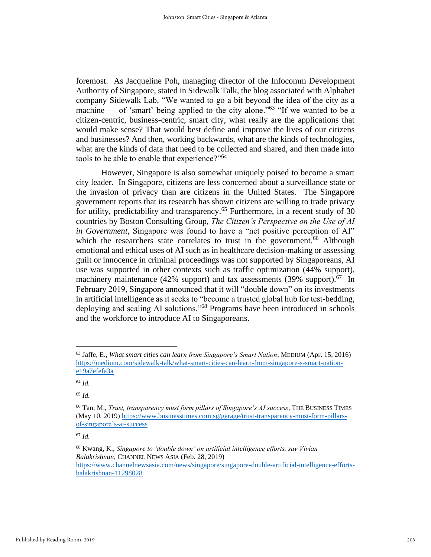foremost. As Jacqueline Poh, managing director of the Infocomm Development Authority of Singapore, stated in Sidewalk Talk, the blog associated with Alphabet company Sidewalk Lab, "We wanted to go a bit beyond the idea of the city as a machine — of 'smart' being applied to the city alone."<sup>63</sup> "If we wanted to be a citizen-centric, business-centric, smart city, what really are the applications that would make sense? That would best define and improve the lives of our citizens and businesses? And then, working backwards, what are the kinds of technologies, what are the kinds of data that need to be collected and shared, and then made into tools to be able to enable that experience?"<sup>64</sup>

However, Singapore is also somewhat uniquely poised to become a smart city leader. In Singapore, citizens are less concerned about a surveillance state or the invasion of privacy than are citizens in the United States. The Singapore government reports that its research has shown citizens are willing to trade privacy for utility, predictability and transparency.<sup>65</sup> Furthermore, in a recent study of 30 countries by Boston Consulting Group, *The Citizen's Perspective on the Use of AI in Government*, Singapore was found to have a "net positive perception of AI" which the researchers state correlates to trust in the government.<sup>66</sup> Although emotional and ethical uses of AI such as in healthcare decision-making or assessing guilt or innocence in criminal proceedings was not supported by Singaporeans, AI use was supported in other contexts such as traffic optimization (44% support), machinery maintenance (42% support) and tax assessments (39% support). $67$  In February 2019, Singapore announced that it will "double down" on its investments in artificial intelligence as it seeks to "become a trusted global hub for test-bedding, deploying and scaling AI solutions."<sup>68</sup> Programs have been introduced in schools and the workforce to introduce AI to Singaporeans.

<sup>63</sup> Jaffe, E., *What smart cities can learn from Singapore's Smart Nation*, MEDIUM (Apr. 15, 2016) [https://medium.com/sidewalk-talk/what-smart-cities-can-learn-from-singapore-s-smart-nation](https://medium.com/sidewalk-talk/what-smart-cities-can-learn-from-singapore-s-smart-nation-e19a7efefa3a)[e19a7efefa3a](https://medium.com/sidewalk-talk/what-smart-cities-can-learn-from-singapore-s-smart-nation-e19a7efefa3a)

<sup>64</sup> *Id.*

<sup>65</sup> *Id.*

<sup>66</sup> Tan, M., *Trust, transparency must form pillars of Singapore's AI success*, THE BUSINESS TIMES (May 10, 2019) [https://www.businesstimes.com.sg/garage/trust-transparency-must-form-pillars](https://www.businesstimes.com.sg/garage/trust-transparency-must-form-pillars-of-singapore’s-ai-success)[of-singapore's-ai-success](https://www.businesstimes.com.sg/garage/trust-transparency-must-form-pillars-of-singapore’s-ai-success)

<sup>67</sup> *Id.*

<sup>68</sup> Kwang, K., *Singapore to 'double down' on artificial intelligence efforts, say Vivian Balakrishnan*, CHANNEL NEWS ASIA (Feb. 28, 2019) [https://www.channelnewsasia.com/news/singapore/singapore-double-artificial-intelligence-efforts](https://www.channelnewsasia.com/news/singapore/singapore-double-artificial-intelligence-efforts-balakrishnan-11298028)[balakrishnan-11298028](https://www.channelnewsasia.com/news/singapore/singapore-double-artificial-intelligence-efforts-balakrishnan-11298028)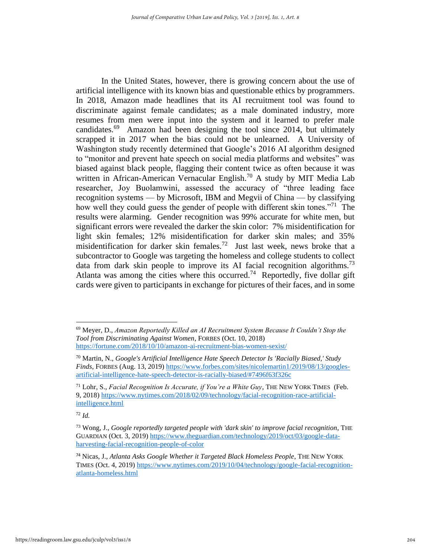In the United States, however, there is growing concern about the use of artificial intelligence with its known bias and questionable ethics by programmers. In 2018, Amazon made headlines that its AI recruitment tool was found to discriminate against female candidates; as a male dominated industry, more resumes from men were input into the system and it learned to prefer male candidates.<sup>69</sup> Amazon had been designing the tool since 2014, but ultimately scrapped it in 2017 when the bias could not be unlearned. A University of Washington study recently determined that Google's 2016 AI algorithm designed to "monitor and prevent hate speech on social media platforms and websites" was biased against black people, flagging their content twice as often because it was written in African-American Vernacular English.<sup>70</sup> A study by MIT Media Lab researcher, Joy Buolamwini, assessed the accuracy of "three leading face recognition systems — by Microsoft, IBM and Megvii of China — by classifying how well they could guess the gender of people with different skin tones."<sup>71</sup> The results were alarming. Gender recognition was 99% accurate for white men, but significant errors were revealed the darker the skin color: 7% misidentification for light skin females; 12% misidentification for darker skin males; and 35% misidentification for darker skin females.<sup>72</sup> Just last week, news broke that a subcontractor to Google was targeting the homeless and college students to collect data from dark skin people to improve its AI facial recognition algorithms.<sup>73</sup> Atlanta was among the cities where this occurred.<sup>74</sup> Reportedly, five dollar gift cards were given to participants in exchange for pictures of their faces, and in some

<sup>69</sup> Meyer, D., *Amazon Reportedly Killed an AI Recruitment System Because It Couldn't Stop the Tool from Discriminating Against Women*, FORBES (Oct. 10, 2018) <https://fortune.com/2018/10/10/amazon-ai-recruitment-bias-women-sexist/>

<sup>70</sup> Martin, N., *Google's Artificial Intelligence Hate Speech Detector Is 'Racially Biased,' Study Finds*, FORBES (Aug. 13, 2019) [https://www.forbes.com/sites/nicolemartin1/2019/08/13/googles](https://www.forbes.com/sites/nicolemartin1/2019/08/13/googles-artificial-intelligence-hate-speech-detector-is-racially-biased/#7496f63f326c)[artificial-intelligence-hate-speech-detector-is-racially-biased/#7496f63f326c](https://www.forbes.com/sites/nicolemartin1/2019/08/13/googles-artificial-intelligence-hate-speech-detector-is-racially-biased/#7496f63f326c)

<sup>71</sup> Lohr, S., *Facial Recognition Is Accurate, if You're a White Guy*, THE NEW YORK TIMES (Feb. 9, 2018) [https://www.nytimes.com/2018/02/09/technology/facial-recognition-race-artificial](https://www.nytimes.com/2018/02/09/technology/facial-recognition-race-artificial-intelligence.html)[intelligence.html](https://www.nytimes.com/2018/02/09/technology/facial-recognition-race-artificial-intelligence.html)

<sup>72</sup> *Id.*

<sup>73</sup> Wong, J., *Google reportedly targeted people with 'dark skin' to improve facial recognition*, THE GUARDIAN (Oct. 3, 2019) [https://www.theguardian.com/technology/2019/oct/03/google-data](https://www.theguardian.com/technology/2019/oct/03/google-data-harvesting-facial-recognition-people-of-color)[harvesting-facial-recognition-people-of-color](https://www.theguardian.com/technology/2019/oct/03/google-data-harvesting-facial-recognition-people-of-color)

<sup>74</sup> Nicas, J., *Atlanta Asks Google Whether it Targeted Black Homeless People*, THE NEW YORK TIMES (Oct. 4, 2019) [https://www.nytimes.com/2019/10/04/technology/google-facial-recognition](https://www.nytimes.com/2019/10/04/technology/google-facial-recognition-atlanta-homeless.html)[atlanta-homeless.html](https://www.nytimes.com/2019/10/04/technology/google-facial-recognition-atlanta-homeless.html)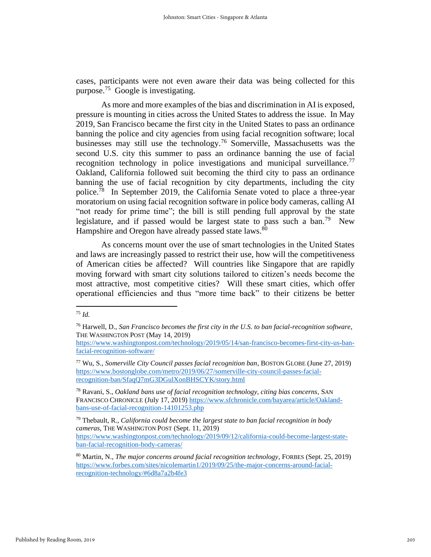cases, participants were not even aware their data was being collected for this purpose.<sup>75</sup> Google is investigating.

As more and more examples of the bias and discrimination in AI is exposed, pressure is mounting in cities across the United States to address the issue. In May 2019, San Francisco became the first city in the United States to pass an ordinance banning the police and city agencies from using facial recognition software; local businesses may still use the technology.<sup>76</sup> Somerville, Massachusetts was the second U.S. city this summer to pass an ordinance banning the use of facial recognition technology in police investigations and municipal surveillance.<sup>77</sup> Oakland, California followed suit becoming the third city to pass an ordinance banning the use of facial recognition by city departments, including the city police.<sup>78</sup> In September 2019, the California Senate voted to place a three-year moratorium on using facial recognition software in police body cameras, calling AI "not ready for prime time"; the bill is still pending full approval by the state legislature, and if passed would be largest state to pass such a ban.<sup>79</sup> New Hampshire and Oregon have already passed state laws.<sup>80</sup>

As concerns mount over the use of smart technologies in the United States and laws are increasingly passed to restrict their use, how will the competitiveness of American cities be affected? Will countries like Singapore that are rapidly moving forward with smart city solutions tailored to citizen's needs become the most attractive, most competitive cities? Will these smart cities, which offer operational efficiencies and thus "more time back" to their citizens be better

[ban-facial-recognition-body-cameras/](https://www.washingtonpost.com/technology/2019/09/12/california-could-become-largest-state-ban-facial-recognition-body-cameras/)

<sup>75</sup> *Id.*

<sup>76</sup> Harwell, D., *San Francisco becomes the first city in the U.S. to ban facial-recognition software*, THE WASHINGTON POST (May 14, 2019)

[https://www.washingtonpost.com/technology/2019/05/14/san-francisco-becomes-first-city-us-ban](https://www.washingtonpost.com/technology/2019/05/14/san-francisco-becomes-first-city-us-ban-facial-recognition-software/)[facial-recognition-software/](https://www.washingtonpost.com/technology/2019/05/14/san-francisco-becomes-first-city-us-ban-facial-recognition-software/)

<sup>77</sup> Wu, S., *Somerville City Council passes facial recognition ban*, BOSTON GLOBE (June 27, 2019) [https://www.bostonglobe.com/metro/2019/06/27/somerville-city-council-passes-facial](https://www.bostonglobe.com/metro/2019/06/27/somerville-city-council-passes-facial-recognition-ban/SfaqQ7mG3DGulXonBHSCYK/story.html)[recognition-ban/SfaqQ7mG3DGulXonBHSCYK/story.html](https://www.bostonglobe.com/metro/2019/06/27/somerville-city-council-passes-facial-recognition-ban/SfaqQ7mG3DGulXonBHSCYK/story.html)

<sup>78</sup> Ravani, S., *Oakland bans use of facial recognition technology, citing bias concerns*, SAN FRANCISCO CHRONICLE (July 17, 2019) [https://www.sfchronicle.com/bayarea/article/Oakland](https://www.sfchronicle.com/bayarea/article/Oakland-bans-use-of-facial-recognition-14101253.php)[bans-use-of-facial-recognition-14101253.php](https://www.sfchronicle.com/bayarea/article/Oakland-bans-use-of-facial-recognition-14101253.php)

<sup>79</sup> Thebault, R., *California could become the largest state to ban facial recognition in body cameras*, THE WASHINGTON POST (Sept. 11, 2019) [https://www.washingtonpost.com/technology/2019/09/12/california-could-become-largest-state-](https://www.washingtonpost.com/technology/2019/09/12/california-could-become-largest-state-ban-facial-recognition-body-cameras/)

<sup>80</sup> Martin, N., *The major concerns around facial recognition technology*, FORBES (Sept. 25, 2019) [https://www.forbes.com/sites/nicolemartin1/2019/09/25/the-major-concerns-around-facial](https://www.forbes.com/sites/nicolemartin1/2019/09/25/the-major-concerns-around-facial-recognition-technology/#6d8a7a2b4fe3)[recognition-technology/#6d8a7a2b4fe3](https://www.forbes.com/sites/nicolemartin1/2019/09/25/the-major-concerns-around-facial-recognition-technology/#6d8a7a2b4fe3)